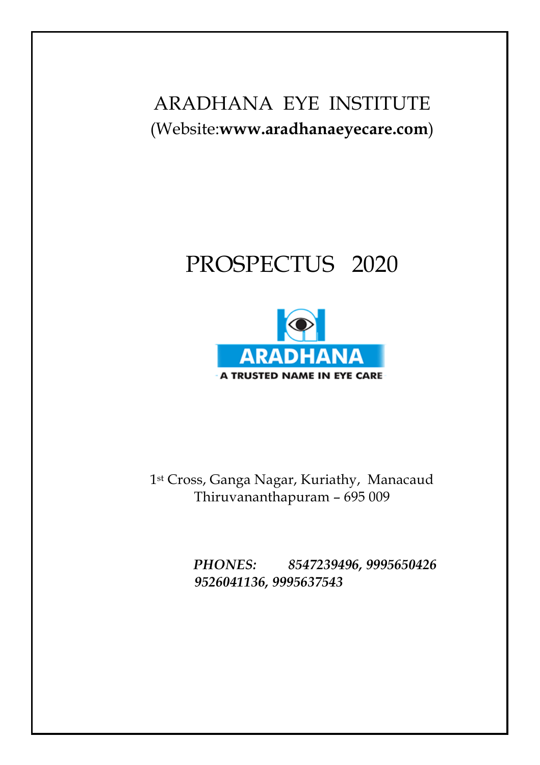# ARADHANA EYE INSTITUTE (Website:**www.aradhanaeyecare.com**)

# PROSPECTUS 2020



1st Cross, Ganga Nagar, Kuriathy, Manacaud Thiruvananthapuram – 695 009

> *PHONES: 8547239496, 9995650426 9526041136, 9995637543*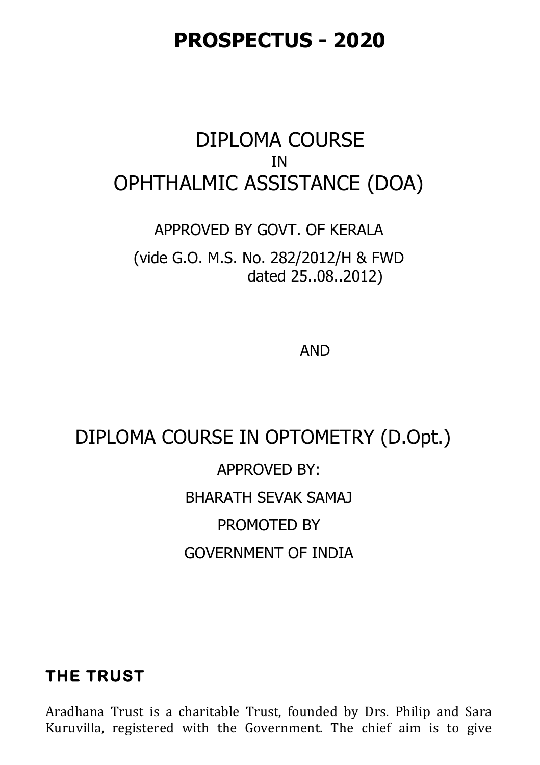# **PROSPECTUS - 2020**

# DIPLOMA COURSE IN OPHTHALMIC ASSISTANCE (DOA)

#### APPROVED BY GOVT. OF KERALA

(vide G.O. M.S. No. 282/2012/H & FWD dated 25..08..2012)

AND

# DIPLOMA COURSE IN OPTOMETRY (D.Opt.) APPROVED BY: BHARATH SEVAK SAMAJ PROMOTED BY GOVERNMENT OF INDIA

### **THE TRUST**

Aradhana Trust is a charitable Trust, founded by Drs. Philip and Sara Kuruvilla, registered with the Government. The chief aim is to give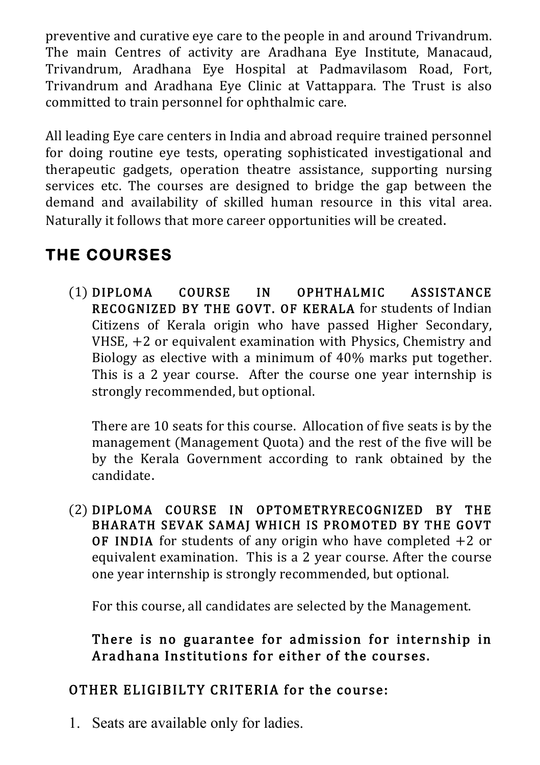preventive and curative eye care to the people in and around Trivandrum. The main Centres of activity are Aradhana Eye Institute, Manacaud, Trivandrum, Aradhana Eye Hospital at Padmavilasom Road, Fort, Trivandrum and Aradhana Eye Clinic at Vattappara. The Trust is also committed to train personnel for ophthalmic care.

All leading Eye care centers in India and abroad require trained personnel for doing routine eye tests, operating sophisticated investigational and therapeutic gadgets, operation theatre assistance, supporting nursing services etc. The courses are designed to bridge the gap between the demand and availability of skilled human resource in this vital area. Naturally it follows that more career opportunities will be created.

# **THE COURSES**

(1) DIPLOMA COURSE IN OPHTHALMIC ASSISTANCE RECOGNIZED BY THE GOVT. OF KERALA for students of Indian Citizens of Kerala origin who have passed Higher Secondary, VHSE, +2 or equivalent examination with Physics, Chemistry and Biology as elective with a minimum of 40% marks put together. This is a 2 year course. After the course one year internship is strongly recommended, but optional.

There are 10 seats for this course. Allocation of five seats is by the management (Management Quota) and the rest of the five will be by the Kerala Government according to rank obtained by the candidate.

(2) DIPLOMA COURSE IN OPTOMETRYRECOGNIZED BY THE BHARATH SEVAK SAMAJ WHICH IS PROMOTED BY THE GOVT **OF INDIA** for students of any origin who have completed  $+2$  or equivalent examination. This is a 2 year course. After the course one year internship is strongly recommended, but optional.

For this course, all candidates are selected by the Management.

### There is no guarantee for admission for internship in Aradhana Institutions for either of the courses.

### OTHER ELIGIBILTY CRITERIA for the course:

1. Seats are available only for ladies.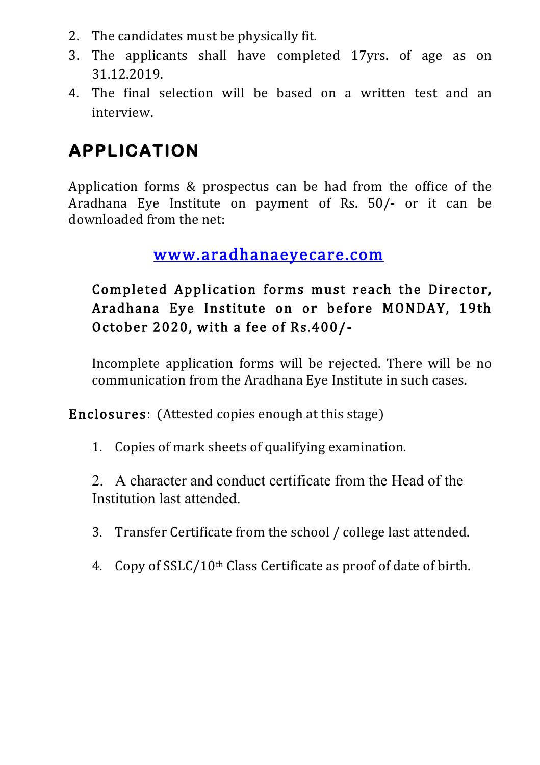- 2. The candidates must be physically fit.
- 3. The applicants shall have completed 17yrs. of age as on 31.12.2019.
- 4. The final selection will be based on a written test and an interview.

# **APPLICATION**

Application forms & prospectus can be had from the office of the Aradhana Eye Institute on payment of Rs. 50/- or it can be downloaded from the net:

### www.aradhanaeyecare.com

### Completed Application forms must reach the Director, Aradhana Eye Institute on or before MONDAY, 19th October 2020, with a fee of Rs.400/-

Incomplete application forms will be rejected. There will be no communication from the Aradhana Eye Institute in such cases.

Enclosures: (Attested copies enough at this stage)

1. Copies of mark sheets of qualifying examination.

2. A character and conduct certificate from the Head of the Institution last attended.

- 3. Transfer Certificate from the school / college last attended.
- 4. Copy of SSLC/10th Class Certificate as proof of date of birth.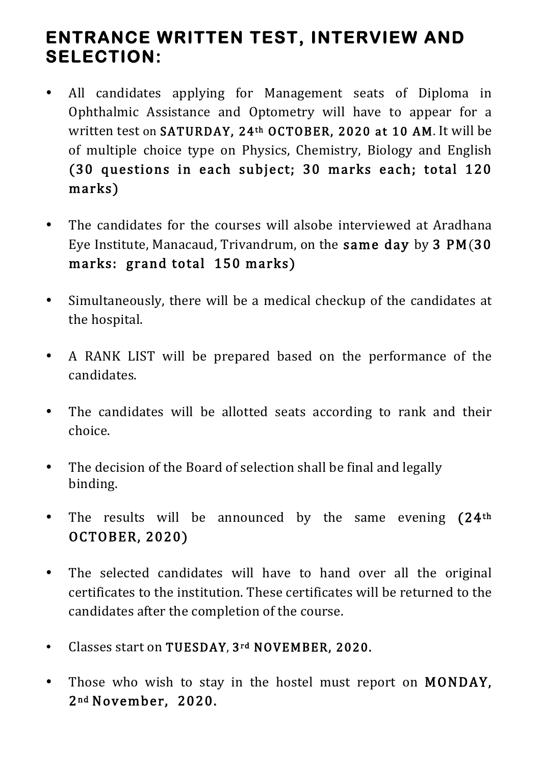## **ENTRANCE WRITTEN TEST, INTERVIEW AND SELECTION:**

- All candidates applying for Management seats of Diploma in Ophthalmic Assistance and Optometry will have to appear for a written test on SATURDAY, 24th OCTOBER, 2020 at 10 AM. It will be of multiple choice type on Physics, Chemistry, Biology and English (30 questions in each subject; 30 marks each; total 120 marks)
- The candidates for the courses will alsobe interviewed at Aradhana Eye Institute, Manacaud, Trivandrum, on the same day by 3 PM(30 marks: grand total 150 marks)
- Simultaneously, there will be a medical checkup of the candidates at the hospital.
- A RANK LIST will be prepared based on the performance of the candidates.
- The candidates will be allotted seats according to rank and their choice.
- The decision of the Board of selection shall be final and legally binding.
- The results will be announced by the same evening (24<sup>th</sup>) OCTOBER, 2020)
- The selected candidates will have to hand over all the original certificates to the institution. These certificates will be returned to the candidates after the completion of the course.
- Classes start on TUESDAY, 3rd NOVEMBER, 2020.
- Those who wish to stay in the hostel must report on MONDAY, 2 nd November, 2020.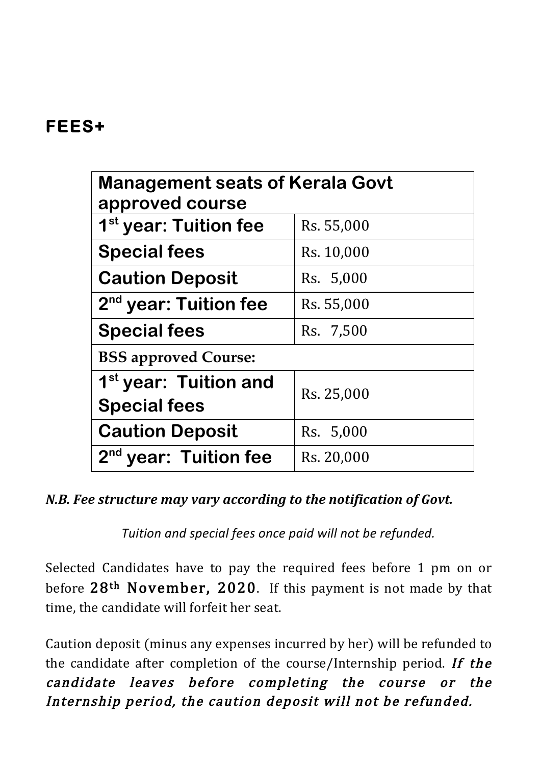## **FEES+**

| <b>Management seats of Kerala Govt</b><br>approved course |            |
|-----------------------------------------------------------|------------|
| 1 <sup>st</sup> year: Tuition fee                         | Rs. 55,000 |
| <b>Special fees</b>                                       | Rs. 10,000 |
| <b>Caution Deposit</b>                                    | Rs. 5,000  |
| 2 <sup>nd</sup> year: Tuition fee                         | Rs. 55,000 |
| <b>Special fees</b>                                       | Rs. 7,500  |
| <b>BSS approved Course:</b>                               |            |
| 1 <sup>st</sup> year: Tuition and<br><b>Special fees</b>  | Rs. 25,000 |
| <b>Caution Deposit</b>                                    | Rs. 5,000  |
| 2 <sup>nd</sup> year: Tuition fee                         | Rs. 20,000 |

#### *N.B. Fee structure may vary according to the notification of Govt.*

Tuition and special fees once paid will not be refunded.

Selected Candidates have to pay the required fees before 1 pm on or before 28<sup>th</sup> November, 2020. If this payment is not made by that time, the candidate will forfeit her seat.

Caution deposit (minus any expenses incurred by her) will be refunded to the candidate after completion of the course/Internship period. If the candidate leaves before completing the course or the Internship period, the caution deposit will not be refunded.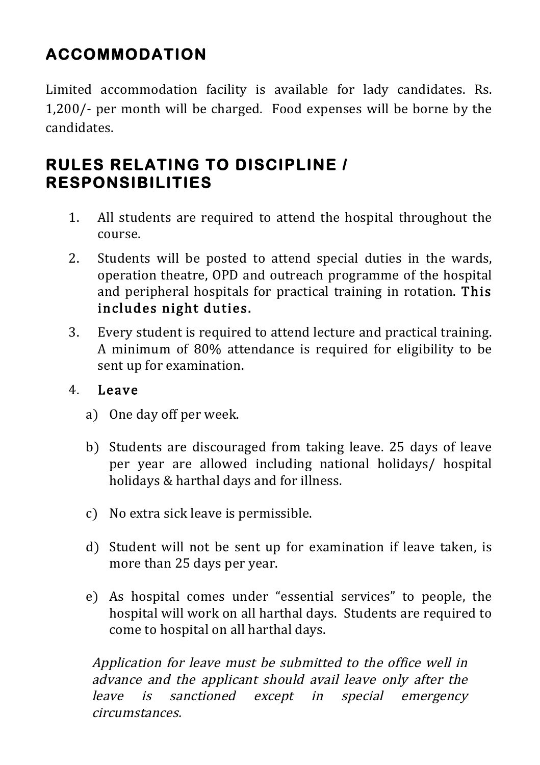# **ACCOMMODATION**

Limited accommodation facility is available for lady candidates. Rs. 1,200/- per month will be charged. Food expenses will be borne by the candidates.

### **RULES RELATING TO DISCIPLINE / RESPONSIBILITIES**

- 1. All students are required to attend the hospital throughout the course.
- 2. Students will be posted to attend special duties in the wards, operation theatre, OPD and outreach programme of the hospital and peripheral hospitals for practical training in rotation. This includes night duties.
- 3. Every student is required to attend lecture and practical training. A minimum of 80% attendance is required for eligibility to be sent up for examination.

#### 4. Leave

- a) One day off per week.
- b) Students are discouraged from taking leave. 25 days of leave per year are allowed including national holidays/ hospital holidays & harthal days and for illness.
- c) No extra sick leave is permissible.
- d) Student will not be sent up for examination if leave taken, is more than 25 days per year.
- e) As hospital comes under "essential services" to people, the hospital will work on all harthal days. Students are required to come to hospital on all harthal days.

Application for leave must be submitted to the office well in advance and the applicant should avail leave only after the leave is sanctioned except in special emergency circumstances.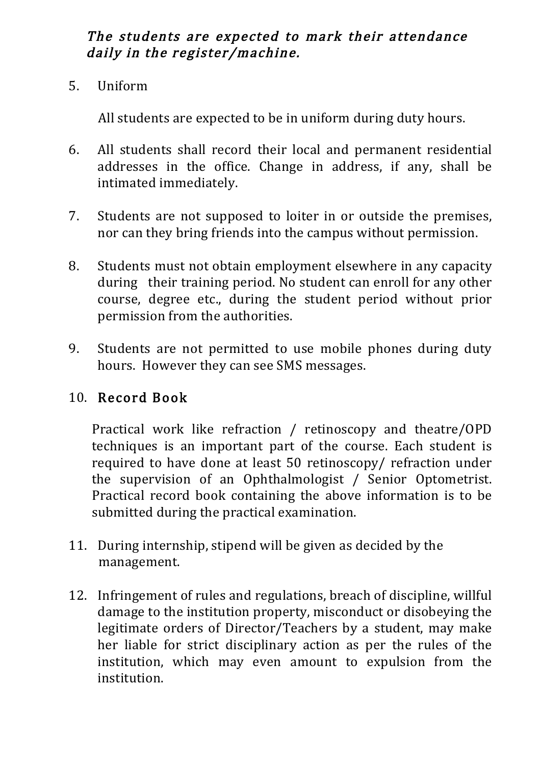#### The students are expected to mark their attendance daily in the register/machine.

5. Uniform

All students are expected to be in uniform during duty hours.

- 6. All students shall record their local and permanent residential addresses in the office. Change in address, if any, shall be intimated immediately.
- 7. Students are not supposed to loiter in or outside the premises, nor can they bring friends into the campus without permission.
- 8. Students must not obtain employment elsewhere in any capacity during their training period. No student can enroll for any other course, degree etc., during the student period without prior permission from the authorities.
- 9. Students are not permitted to use mobile phones during duty hours. However they can see SMS messages.

#### 10. Record Book

Practical work like refraction / retinoscopy and theatre/OPD techniques is an important part of the course. Each student is required to have done at least 50 retinoscopy/ refraction under the supervision of an Ophthalmologist / Senior Optometrist. Practical record book containing the above information is to be submitted during the practical examination.

- 11. During internship, stipend will be given as decided by the management.
- 12. Infringement of rules and regulations, breach of discipline, willful damage to the institution property, misconduct or disobeying the legitimate orders of Director/Teachers by a student, may make her liable for strict disciplinary action as per the rules of the institution, which may even amount to expulsion from the institution.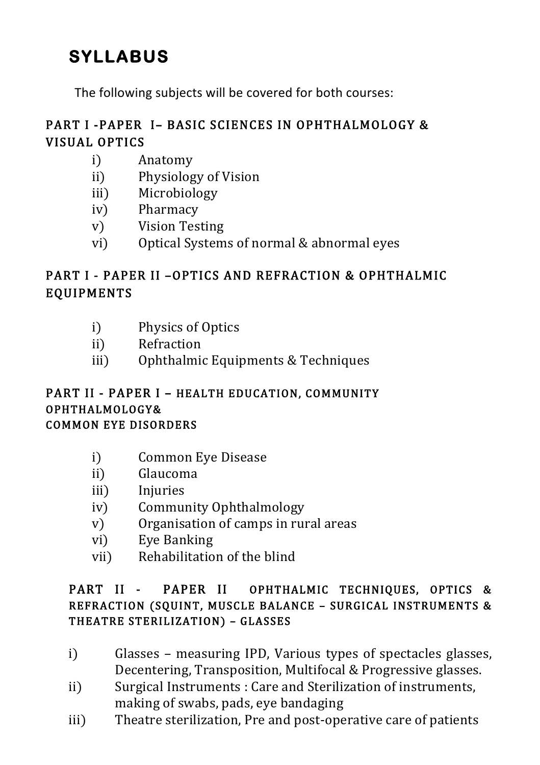# **SYLLABUS**

The following subjects will be covered for both courses:

### PART I -PAPER I– BASIC SCIENCES IN OPHTHALMOLOGY & VISUAL OPTICS

- i) Anatomy
- ii) Physiology of Vision
- iii) Microbiology
- iv) Pharmacy
- v) Vision Testing
- vi) Optical Systems of normal & abnormal eyes

### PART I - PAPER II –OPTICS AND REFRACTION & OPHTHALMIC EQUIPMENTS

- i) Physics of Optics
- ii) Refraction
- iii) Ophthalmic Equipments & Techniques

#### PART II - PAPER I - HEALTH EDUCATION, COMMUNITY OPHTHALMOLOGY& COMMON EYE DISORDERS

- i) Common Eye Disease
- ii) Glaucoma
- iii) Injuries
- iv) Community Ophthalmology
- v) Organisation of camps in rural areas
- vi) Eye Banking
- vii) Rehabilitation of the blind

#### PART II - PAPER II OPHTHALMIC TECHNIQUES, OPTICS & REFRACTION (SQUINT, MUSCLE BALANCE – SURGICAL INSTRUMENTS & THEATRE STERILIZATION) – GLASSES

- i) Glasses measuring IPD, Various types of spectacles glasses, Decentering, Transposition, Multifocal & Progressive glasses.
- ii) Surgical Instruments : Care and Sterilization of instruments, making of swabs, pads, eye bandaging
- iii) Theatre sterilization, Pre and post-operative care of patients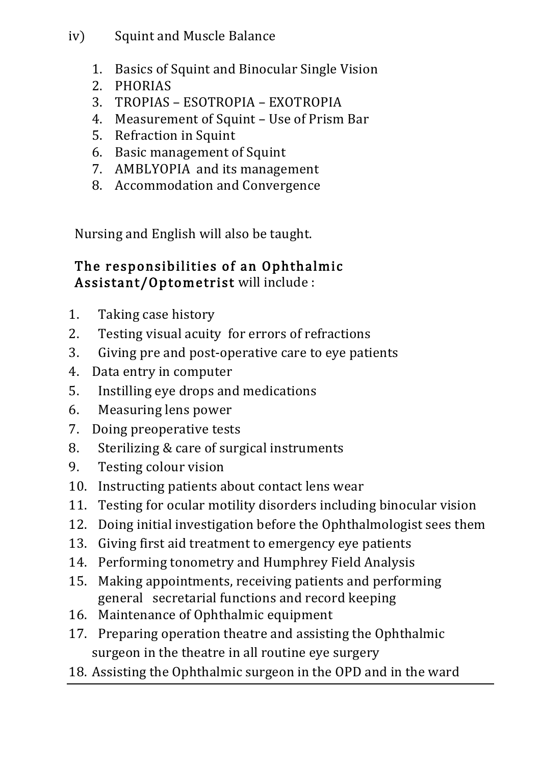#### iv) Squint and Muscle Balance

- 1. Basics of Squint and Binocular Single Vision
- 2. PHORIAS
- 3. TROPIAS ESOTROPIA EXOTROPIA
- 4. Measurement of Squint Use of Prism Bar
- 5. Refraction in Squint
- 6. Basic management of Squint
- 7. AMBLYOPIA and its management
- 8. Accommodation and Convergence

Nursing and English will also be taught.

### The responsibilities of an Ophthalmic Assistant/Optometrist will include :

- 1. Taking case history
- 2. Testing visual acuity for errors of refractions
- 3. Giving pre and post-operative care to eye patients
- 4. Data entry in computer
- 5. Instilling eye drops and medications
- 6. Measuring lens power
- 7. Doing preoperative tests
- 8. Sterilizing & care of surgical instruments
- 9. Testing colour vision
- 10. Instructing patients about contact lens wear
- 11. Testing for ocular motility disorders including binocular vision
- 12. Doing initial investigation before the Ophthalmologist sees them
- 13. Giving first aid treatment to emergency eye patients
- 14. Performing tonometry and Humphrey Field Analysis
- 15. Making appointments, receiving patients and performing general secretarial functions and record keeping
- 16. Maintenance of Ophthalmic equipment
- 17. Preparing operation theatre and assisting the Ophthalmic surgeon in the theatre in all routine eye surgery
- 18. Assisting the Ophthalmic surgeon in the OPD and in the ward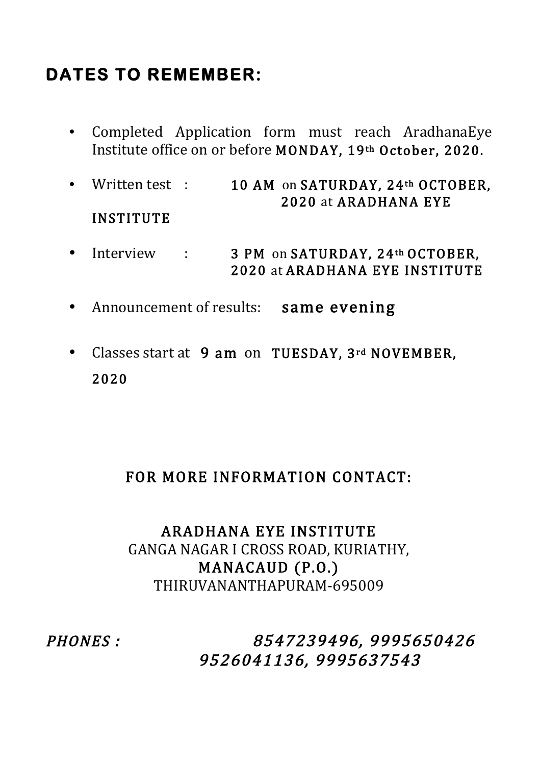# **DATES TO REMEMBER:**

- Completed Application form must reach AradhanaEye Institute office on or before MONDAY, 19th October, 2020.
- Written test : 10 AM on SATURDAY, 24<sup>th</sup> OCTOBER, 2020 at ARADHANA EYE INSTITUTE
- Interview : 3 PM on SATURDAY, 24th OCTOBER, 2020 at ARADHANA EYE INSTITUTE
- Announcement of results: same evening
- Classes start at 9 am on TUESDAY, 3rd NOVEMBER, 2020

### FOR MORE INFORMATION CONTACT:

### ARADHANA EYE INSTITUTE GANGA NAGAR I CROSS ROAD, KURIATHY, MANACAUD (P.O.) THIRUVANANTHAPURAM-695009

PHONES : 8547239496, 9995650426 9526041136, 9995637543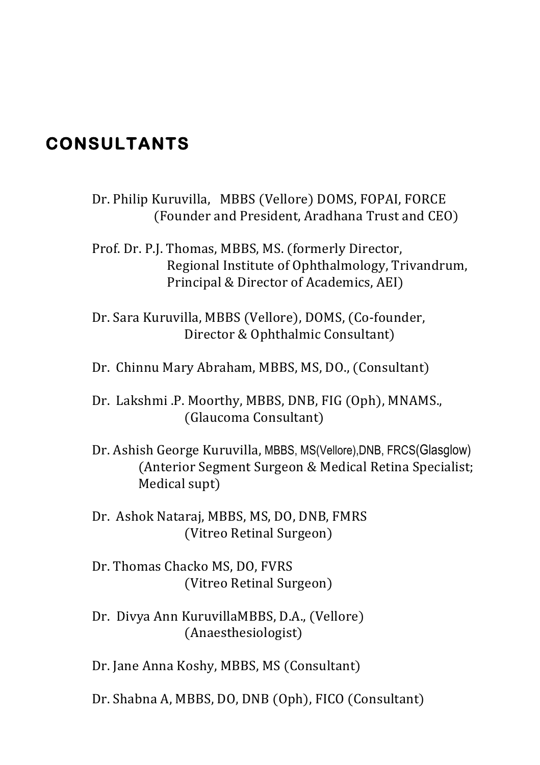### **CONSULTANTS**

- Dr. Philip Kuruvilla, MBBS (Vellore) DOMS, FOPAI, FORCE (Founder and President, Aradhana Trust and CEO)
- Prof. Dr. P.J. Thomas, MBBS, MS. (formerly Director, Regional Institute of Ophthalmology, Trivandrum, Principal & Director of Academics, AEI)
- Dr. Sara Kuruvilla, MBBS (Vellore), DOMS, (Co-founder, Director & Ophthalmic Consultant)
- Dr. Chinnu Mary Abraham, MBBS, MS, DO., (Consultant)
- Dr. Lakshmi .P. Moorthy, MBBS, DNB, FIG (Oph), MNAMS., (Glaucoma Consultant)
- Dr. Ashish George Kuruvilla, MBBS, MS(Vellore),DNB, FRCS(Glasglow) (Anterior Segment Surgeon & Medical Retina Specialist; Medical supt)
- Dr. Ashok Nataraj, MBBS, MS, DO, DNB, FMRS (Vitreo Retinal Surgeon)
- Dr. Thomas Chacko MS, DO, FVRS (Vitreo Retinal Surgeon)
- Dr. Divya Ann KuruvillaMBBS, D.A., (Vellore) (Anaesthesiologist)
- Dr. Jane Anna Koshy, MBBS, MS (Consultant)
- Dr. Shabna A, MBBS, DO, DNB (Oph), FICO (Consultant)